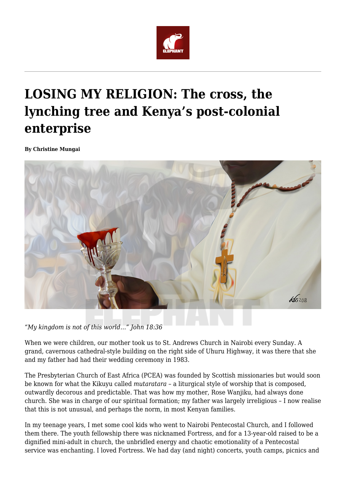

## **LOSING MY RELIGION: The cross, the lynching tree and Kenya's post-colonial enterprise**

**By Christine Mungai**



*"My kingdom is not of this world…" John 18:36*

When we were children, our mother took us to St. Andrews Church in Nairobi every Sunday. A grand, cavernous cathedral-style building on the right side of Uhuru Highway, it was there that she and my father had had their wedding ceremony in 1983.

The Presbyterian Church of East Africa (PCEA) was founded by Scottish missionaries but would soon be known for what the Kikuyu called *mutaratara –* a liturgical style of worship that is composed, outwardly decorous and predictable. That was how my mother, Rose Wanjiku, had always done church. She was in charge of our spiritual formation; my father was largely irreligious – I now realise that this is not unusual, and perhaps the norm, in most Kenyan families.

In my teenage years, I met some cool kids who went to Nairobi Pentecostal Church, and I followed them there. The youth fellowship there was nicknamed Fortress, and for a 13-year-old raised to be a dignified mini-adult in church, the unbridled energy and chaotic emotionality of a Pentecostal service was enchanting. I loved Fortress. We had day (and night) concerts, youth camps, picnics and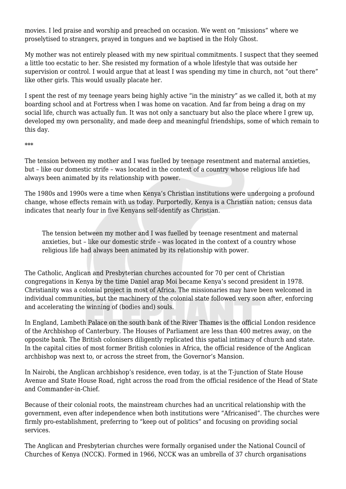movies. I led praise and worship and preached on occasion. We went on "missions" where we proselytised to strangers, prayed in tongues and we baptised in the Holy Ghost.

My mother was not entirely pleased with my new spiritual commitments. I suspect that they seemed a little too ecstatic to her. She resisted my formation of a whole lifestyle that was outside her supervision or control. I would argue that at least I was spending my time in church, not "out there" like other girls. This would usually placate her.

I spent the rest of my teenage years being highly active "in the ministry" as we called it, both at my boarding school and at Fortress when I was home on vacation. And far from being a drag on my social life, church was actually fun. It was not only a sanctuary but also the place where I grew up, developed my own personality, and made deep and meaningful friendships, some of which remain to this day.

\*\*\*

The tension between my mother and I was fuelled by teenage resentment and maternal anxieties, but – like our domestic strife – was located in the context of a country whose religious life had always been animated by its relationship with power.

The 1980s and 1990s were a time when Kenya's Christian institutions were undergoing a profound change, whose effects remain with us today. Purportedly, Kenya is a Christian nation; census data indicates that nearly four in five Kenyans self-identify as Christian.

The tension between my mother and I was fuelled by teenage resentment and maternal anxieties, but – like our domestic strife – was located in the context of a country whose religious life had always been animated by its relationship with power.

The Catholic, Anglican and Presbyterian churches accounted for 70 per cent of Christian congregations in Kenya by the time Daniel arap Moi became Kenya's second president in 1978. Christianity was a colonial project in most of Africa. The missionaries may have been welcomed in individual communities, but the machinery of the colonial state followed very soon after, enforcing and accelerating the winning of (bodies and) souls.

In England, Lambeth Palace on the south bank of the River Thames is the official London residence of the Archbishop of Canterbury. The Houses of Parliament are less than 400 metres away, on the opposite bank. The British colonisers diligently replicated this spatial intimacy of church and state. In the capital cities of most former British colonies in Africa, the official residence of the Anglican archbishop was next to, or across the street from, the Governor's Mansion.

In Nairobi, the Anglican archbishop's residence, even today, is at the T-junction of State House Avenue and State House Road, right across the road from the official residence of the Head of State and Commander-in-Chief.

Because of their colonial roots, the mainstream churches had an uncritical relationship with the government, even after independence when both institutions were "Africanised". The churches were firmly pro-establishment, preferring to "keep out of politics" and focusing on providing social services.

The Anglican and Presbyterian churches were formally organised under the National Council of Churches of Kenya (NCCK). Formed in 1966, NCCK was an umbrella of 37 church organisations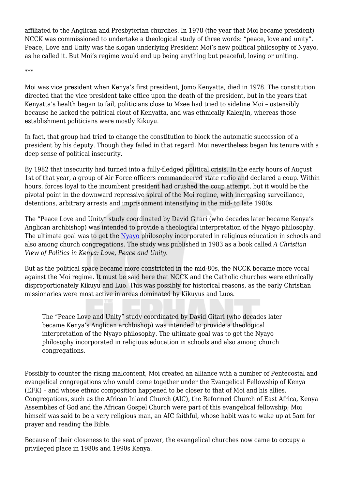affiliated to the Anglican and Presbyterian churches. In 1978 (the year that Moi became president) NCCK was commissioned to undertake a theological study of three words: "peace, love and unity". Peace, Love and Unity was the slogan underlying President Moi's new political philosophy of Nyayo, as he called it. But Moi's regime would end up being anything but peaceful, loving or uniting.

\*\*\*

Moi was vice president when Kenya's first president, Jomo Kenyatta, died in 1978. The constitution directed that the vice president take office upon the death of the president, but in the years that Kenyatta's health began to fail, politicians close to Mzee had tried to sideline Moi – ostensibly because he lacked the political clout of Kenyatta, and was ethnically Kalenjin, whereas those establishment politicians were mostly Kikuyu.

In fact, that group had tried to change the constitution to block the automatic succession of a president by his deputy. Though they failed in that regard, Moi nevertheless began his tenure with a deep sense of political insecurity.

By 1982 that insecurity had turned into a fully-fledged political crisis. In the early hours of August 1st of that year, a group of Air Force officers commandeered state radio and declared a coup. Within hours, forces loyal to the incumbent president had crushed the coup attempt, but it would be the pivotal point in the downward repressive spiral of the Moi regime, with increasing surveillance, detentions, arbitrary arrests and imprisonment intensifying in the mid- to late 1980s.

The "Peace Love and Unity" study coordinated by David Gitari (who decades later became Kenya's Anglican archbishop) was intended to provide a theological interpretation of the Nyayo philosophy. The ultimate goal was to get the [Nyayo](https://twitter.com/hashtag/Nyayo?src=hash) philosophy incorporated in religious education in schools and also among church congregations. The study was published in 1983 as a book called *A Christian View of Politics in Kenya: Love, Peace and Unity*.

But as the political space became more constricted in the mid-80s, the NCCK became more vocal against the Moi regime. It must be said here that NCCK and the Catholic churches were ethnically disproportionately Kikuyu and Luo. This was possibly for historical reasons, as the early Christian missionaries were most active in areas dominated by Kikuyus and Luos.

The "Peace Love and Unity" study coordinated by David Gitari (who decades later became Kenya's Anglican archbishop) was intended to provide a theological interpretation of the Nyayo philosophy. The ultimate goal was to get the Nyayo philosophy incorporated in religious education in schools and also among church congregations.

Possibly to counter the rising malcontent, Moi created an alliance with a number of Pentecostal and evangelical congregations who would come together under the Evangelical Fellowship of Kenya (EFK) – and whose ethnic composition happened to be closer to that of Moi and his allies. Congregations, such as the African Inland Church (AIC), the Reformed Church of East Africa, Kenya Assemblies of God and the African Gospel Church were part of this evangelical fellowship; Moi himself was said to be a very religious man, an AIC faithful, whose habit was to wake up at 5am for prayer and reading the Bible.

Because of their closeness to the seat of power, the evangelical churches now came to occupy a privileged place in 1980s and 1990s Kenya.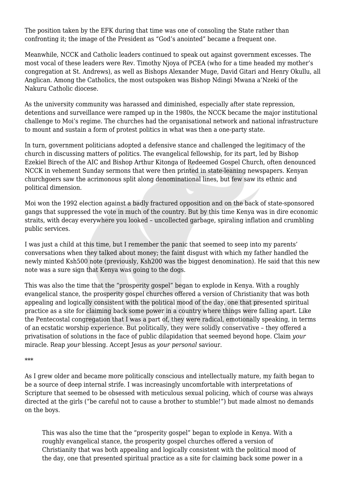The position taken by the EFK during that time was one of consoling the State rather than confronting it; the image of the President as "God's anointed" became a frequent one.

Meanwhile, NCCK and Catholic leaders continued to speak out against government excesses. The most vocal of these leaders were Rev. Timothy Njoya of PCEA (who for a time headed my mother's congregation at St. Andrews), as well as Bishops Alexander Muge, David Gitari and Henry Okullu, all Anglican. Among the Catholics, the most outspoken was Bishop Ndingi Mwana a'Nzeki of the Nakuru Catholic diocese.

As the university community was harassed and diminished, especially after state repression, detentions and surveillance were ramped up in the 1980s, the NCCK became the major institutional challenge to Moi's regime. The churches had the organisational network and national infrastructure to mount and sustain a form of protest politics in what was then a one-party state.

In turn, government politicians adopted a defensive stance and challenged the legitimacy of the church in discussing matters of politics. The evangelical fellowship, for its part, led by Bishop Ezekiel Birech of the AIC and Bishop Arthur Kitonga of Redeemed Gospel Church, often denounced NCCK in vehement Sunday sermons that were then printed in state-leaning newspapers. Kenyan churchgoers saw the acrimonous split along denominational lines, but few saw its ethnic and political dimension.

Moi won the 1992 election against a badly fractured opposition and on the back of state-sponsored gangs that suppressed the vote in much of the country. But by this time Kenya was in dire economic straits, with decay everywhere you looked – uncollected garbage, spiraling inflation and crumbling public services.

I was just a child at this time, but I remember the panic that seemed to seep into my parents' conversations when they talked about money; the faint disgust with which my father handled the newly minted Ksh500 note (previously, Ksh200 was the biggest denomination). He said that this new note was a sure sign that Kenya was going to the dogs.

This was also the time that the "prosperity gospel" began to explode in Kenya. With a roughly evangelical stance, the prosperity gospel churches offered a version of Christianity that was both appealing and logically consistent with the political mood of the day, one that presented spiritual practice as a site for claiming back some power in a country where things were falling apart. Like the Pentecostal congregation that I was a part of, they were radical, emotionally speaking, in terms of an ecstatic worship experience. But politically, they were solidly conservative – they offered a privatisation of solutions in the face of public dilapidation that seemed beyond hope. Claim *your* miracle. Reap *your* blessing. Accept Jesus as *your personal* saviour.

\*\*\*

As I grew older and became more politically conscious and intellectually mature, my faith began to be a source of deep internal strife. I was increasingly uncomfortable with interpretations of Scripture that seemed to be obsessed with meticulous sexual policing, which of course was always directed at the girls ("be careful not to cause a brother to stumble!") but made almost no demands on the boys.

This was also the time that the "prosperity gospel" began to explode in Kenya. With a roughly evangelical stance, the prosperity gospel churches offered a version of Christianity that was both appealing and logically consistent with the political mood of the day, one that presented spiritual practice as a site for claiming back some power in a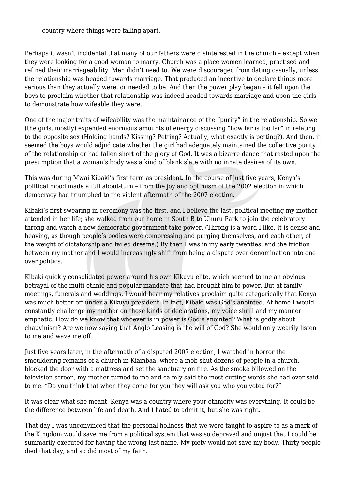country where things were falling apart.

Perhaps it wasn't incidental that many of our fathers were disinterested in the church – except when they were looking for a good woman to marry. Church was a place women learned, practised and refined their marriageability. Men didn't need to. We were discouraged from dating casually, unless the relationship was headed towards marriage. That produced an incentive to declare things more serious than they actually were, or needed to be. And then the power play began – it fell upon the boys to proclaim whether that relationship was indeed headed towards marriage and upon the girls to demonstrate how wifeable they were.

One of the major traits of wifeability was the maintainance of the "purity" in the relationship. So we (the girls, mostly) expended enormous amounts of energy discussing "how far is too far" in relating to the opposite sex (Holding hands? Kissing? Petting? Actually, what exactly is petting?). And then, it seemed the boys would adjudicate whether the girl had adequately maintained the collective purity of the relationship or had fallen short of the glory of God. It was a bizarre dance that rested upon the presumption that a woman's body was a kind of blank slate with no innate desires of its own.

This was during Mwai Kibaki's first term as president. In the course of just five years, Kenya's political mood made a full about-turn – from the joy and optimism of the 2002 election in which democracy had triumphed to the violent aftermath of the 2007 election.

Kibaki's first swearing-in ceremony was the first, and I believe the last, political meeting my mother attended in her life; she walked from our home in South B to Uhuru Park to join the celebratory throng and watch a new democratic government take power. (Throng is a word I like. It is dense and heaving, as though people's bodies were compressing and purging themselves, and each other, of the weight of dictatorship and failed dreams.) By then I was in my early twenties, and the friction between my mother and I would increasingly shift from being a dispute over denomination into one over politics.

Kibaki quickly consolidated power around his own Kikuyu elite, which seemed to me an obvious betrayal of the multi-ethnic and popular mandate that had brought him to power. But at family meetings, funerals and weddings, I would hear my relatives proclaim quite categorically that Kenya was much better off under a Kikuyu president. In fact, Kibaki was God's anointed. At home I would constantly challenge my mother on those kinds of declarations, my voice shrill and my manner emphatic. How do we know that whoever is in power is God's anointed? What is godly about chauvinism? Are we now saying that Anglo Leasing is the will of God? She would only wearily listen to me and wave me off.

Just five years later, in the aftermath of a disputed 2007 election, I watched in horror the smouldering remains of a church in Kiambaa, where a mob shut dozens of people in a church, blocked the door with a mattress and set the sanctuary on fire. As the smoke billowed on the television screen, my mother turned to me and calmly said the most cutting words she had ever said to me. "Do you think that when they come for you they will ask you who you voted for?"

It was clear what she meant. Kenya was a country where your ethnicity was everything. It could be the difference between life and death. And I hated to admit it, but she was right.

That day I was unconvinced that the personal holiness that we were taught to aspire to as a mark of the Kingdom would save me from a political system that was so depraved and unjust that I could be summarily executed for having the wrong last name. My piety would not save my body. Thirty people died that day, and so did most of my faith.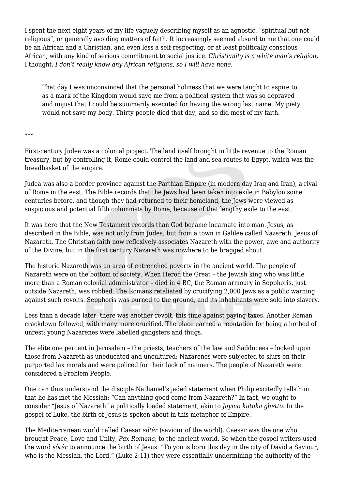I spent the next eight years of my life vaguely describing myself as an agnostic, "spiritual but not religious", or generally avoiding matters of faith. It increasingly seemed absurd to me that one could be an African and a Christian, and even less a self-respecting, or at least politically conscious African, with any kind of serious commitment to social justice. *Christianity is a white man's religion,* I thought. *I don't really know any African religions, so I will have none.*

That day I was unconvinced that the personal holiness that we were taught to aspire to as a mark of the Kingdom would save me from a political system that was so depraved and unjust that I could be summarily executed for having the wrong last name. My piety would not save my body. Thirty people died that day, and so did most of my faith.

## \*\*\*

First-century Judea was a colonial project. The land itself brought in little revenue to the Roman treasury, but by controlling it, Rome could control the land and sea routes to Egypt, which was the breadbasket of the empire.

Judea was also a border province against the Parthian Empire (in modern day Iraq and Iran), a rival of Rome in the east. The Bible records that the Jews had been taken into exile in Babylon some centuries before, and though they had returned to their homeland, the Jews were viewed as suspicious and potential fifth columnists by Rome, because of that lengthy exile to the east.

It was here that the New Testament records than God became incarnate into man. Jesus, as described in the Bible, was not only from Judea, but from a town in Galilee called Nazareth. Jesus of Nazareth. The Christian faith now reflexively associates Nazareth with the power, awe and authority of the Divine, but in the first century Nazareth was nowhere to be bragged about.

The historic Nazareth was an area of entrenched poverty in the ancient world. The people of Nazareth were on the bottom of society. When Herod the Great – the Jewish king who was little more than a Roman colonial administrator – died in 4 BC, the Roman armoury in Sepphoris, just outside Nazareth, was robbed. The Romans retaliated by crucifying 2,000 Jews as a public warning against such revolts. Sepphoris was burned to the ground, and its inhabitants were sold into slavery.

Less than a decade later, there was another revolt, this time against paying taxes. Another Roman crackdown followed, with many more crucified. The place earned a reputation for being a hotbed of unrest; young Nazarenes were labelled gangsters and thugs.

The elite one percent in Jerusalem – the priests, teachers of the law and Sadducees – looked upon those from Nazareth as uneducated and uncultured; Nazarenes were subjected to slurs on their purported lax morals and were policed for their lack of manners. The people of Nazareth were considered a Problem People.

One can thus understand the disciple Nathaniel's jaded statement when Philip excitedly tells him that he has met the Messiah: "Can anything good come from Nazareth?" In fact, we ought to consider "Jesus of Nazareth" a politically loaded statement, akin to *Jaymo kutoka ghetto*. In the gospel of Luke, the birth of Jesus is spoken about in this metaphor of Empire.

The Mediterranean world called Caesar *sôtêr* (saviour of the world). Caesar was the one who brought Peace, Love and Unity, *Pax Romana*, to the ancient world. So when the gospel writers used the word *sôtêr* to announce the birth of Jesus: "To you is born this day in the city of David a Saviour, who is the Messiah, the Lord," (Luke 2:11) they were essentially undermining the authority of the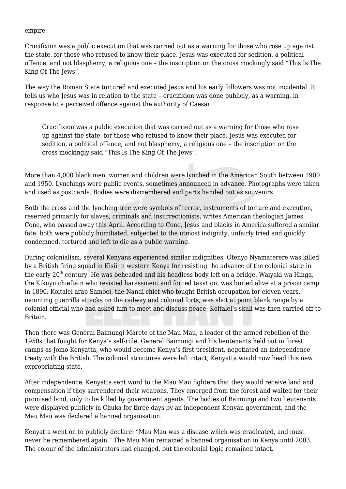empire.

Crucifixion was a public execution that was carried out as a warning for those who rose up against the state, for those who refused to know their place. Jesus was executed for sedition, a political offence, and not blasphemy, a religious one – the inscription on the cross mockingly said "This Is The King Of The Jews".

The way the Roman State tortured and executed Jesus and his early followers was not incidental. It tells us who Jesus was in relation to the state – crucifixion was done publicly, as a warning, in response to a perceived offence against the authority of Caesar.

Crucifixion was a public execution that was carried out as a warning for those who rose up against the state, for those who refused to know their place. Jesus was executed for sedition, a political offence, and not blasphemy, a religious one – the inscription on the cross mockingly said "This Is The King Of The Jews".

More than 4,000 black men, women and children were lynched in the American South between 1900 and 1950. Lynchings were public events, sometimes announced in advance. Photographs were taken and used as postcards. Bodies were dismembered and parts handed out as souvenirs.

Both the cross and the lynching tree were symbols of terror, instruments of torture and execution, reserved primarily for slaves, criminals and insurrectionists, writes American theologian James Cone, who passed away this April. According to Cone, Jesus and blacks in America suffered a similar fate: both were publicly humiliated, subjected to the utmost indignity, unfairly tried and quickly condemned, tortured and left to die as a public warning.

During colonialism, several Kenyans experienced similar indignities. Otenyo Nyamaterere was killed by a British firing squad in Kisii in western Kenya for resisting the advance of the colonial state in the early  $20<sup>th</sup>$  century. He was beheaded and his headless body left on a bridge. Waiyaki wa Hinga, the Kikuyu chieftain who resisted harassment and forced taxation, was buried alive at a prison camp in 1890. Koitalel arap Samoei, the Nandi chief who fought British occupation for eleven years, mounting guerrilla attacks on the railway and colonial forts, was shot at point blank range by a colonial official who had asked him to meet and discuss peace; Koitalel's skull was then carried off to Britain.

Then there was General Baimungi Marete of the Mau Mau, a leader of the armed rebellion of the 1950s that fought for Kenya's self-rule. General Baimungi and his lieutenants held out in forest camps as Jomo Kenyatta, who would become Kenya's first president, negotiated an independence treaty with the British. The colonial structures were left intact; Kenyatta would now head this new expropriating state.

After independence, Kenyatta sent word to the Mau Mau fighters that they would receive land and compensation if they surrendered their weapons. They emerged from the forest and waited for their promised land, only to be killed by government agents. The bodies of Baimungi and two lieutenants were displayed publicly in Chuka for three days by an independent Kenyan government, and the Mau Mau was declared a banned organisation.

Kenyatta went on to publicly declare: "Mau Mau was a disease which was eradicated, and must never be remembered again." The Mau Mau remained a banned organisation in Kenya until 2003. The colour of the administrators had changed, but the colonial logic remained intact.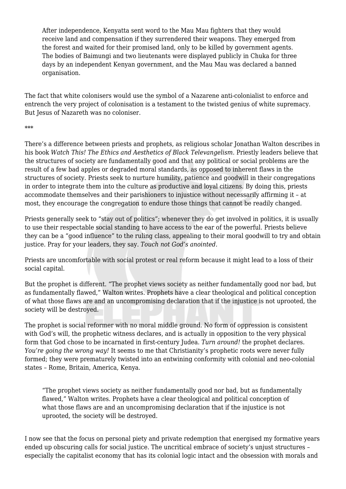After independence, Kenyatta sent word to the Mau Mau fighters that they would receive land and compensation if they surrendered their weapons. They emerged from the forest and waited for their promised land, only to be killed by government agents. The bodies of Baimungi and two lieutenants were displayed publicly in Chuka for three days by an independent Kenyan government, and the Mau Mau was declared a banned organisation.

The fact that white colonisers would use the symbol of a Nazarene anti-colonialist to enforce and entrench the very project of colonisation is a testament to the twisted genius of white supremacy. But Jesus of Nazareth was no coloniser.

## \*\*\*

There's a difference between priests and prophets, as religious scholar Jonathan Walton describes in his book *Watch This! The Ethics and Aesthetics of Black Televangelism.* Priestly leaders believe that the structures of society are fundamentally good and that any political or social problems are the result of a few bad apples or degraded moral standards, as opposed to inherent flaws in the structures of society. Priests seek to nurture humility, patience and goodwill in their congregations in order to integrate them into the culture as productive and loyal citizens. By doing this, priests accommodate themselves and their parishioners to injustice without necessarily affirming it – at most, they encourage the congregation to endure those things that cannot be readily changed.

Priests generally seek to "stay out of politics"; whenever they do get involved in politics, it is usually to use their respectable social standing to have access to the ear of the powerful. Priests believe they can be a "good influence" to the ruling class, appealing to their moral goodwill to try and obtain justice. Pray for your leaders, they say. *Touch not God's anointed.*

Priests are uncomfortable with social protest or real reform because it might lead to a loss of their social capital.

But the prophet is different. "The prophet views society as neither fundamentally good nor bad, but as fundamentally flawed," Walton writes. Prophets have a clear theological and political conception of what those flaws are and an uncompromising declaration that if the injustice is not uprooted, the society will be destroyed.

The prophet is social reformer with no moral middle ground. No form of oppression is consistent with God's will, the prophetic witness declares, and is actually in opposition to the very physical form that God chose to be incarnated in first-century Judea. *Turn around!* the prophet declares. *You're going the wrong way!* It seems to me that Christianity's prophetic roots were never fully formed; they were prematurely twisted into an entwining conformity with colonial and neo-colonial states – Rome, Britain, America, Kenya.

"The prophet views society as neither fundamentally good nor bad, but as fundamentally flawed," Walton writes. Prophets have a clear theological and political conception of what those flaws are and an uncompromising declaration that if the injustice is not uprooted, the society will be destroyed.

I now see that the focus on personal piety and private redemption that energised my formative years ended up obscuring calls for social justice. The uncritical embrace of society's unjust structures – especially the capitalist economy that has its colonial logic intact and the obsession with morals and